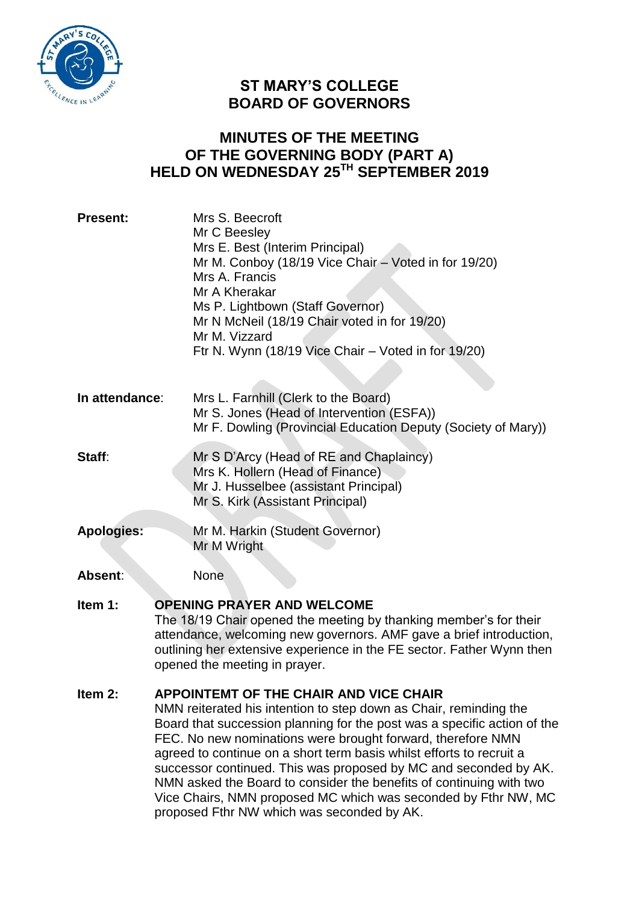

# **ST MARY'S COLLEGE BOARD OF GOVERNORS**

## **MINUTES OF THE MEETING OF THE GOVERNING BODY (PART A) HELD ON WEDNESDAY 25TH SEPTEMBER 2019**

| <b>Present:</b>   | Mrs S. Beecroft<br>Mr C Beesley<br>Mrs E. Best (Interim Principal)<br>Mr M. Conboy (18/19 Vice Chair – Voted in for 19/20)<br>Mrs A. Francis<br>Mr A Kherakar<br>Ms P. Lightbown (Staff Governor)<br>Mr N McNeil (18/19 Chair voted in for 19/20)<br>Mr M. Vizzard<br>Ftr N. Wynn (18/19 Vice Chair – Voted in for 19/20)                                                                                                                                                                                                                                                                        |
|-------------------|--------------------------------------------------------------------------------------------------------------------------------------------------------------------------------------------------------------------------------------------------------------------------------------------------------------------------------------------------------------------------------------------------------------------------------------------------------------------------------------------------------------------------------------------------------------------------------------------------|
| In attendance:    | Mrs L. Farnhill (Clerk to the Board)<br>Mr S. Jones (Head of Intervention (ESFA))<br>Mr F. Dowling (Provincial Education Deputy (Society of Mary))                                                                                                                                                                                                                                                                                                                                                                                                                                               |
| Staff:            | Mr S D'Arcy (Head of RE and Chaplaincy)<br>Mrs K. Hollern (Head of Finance)<br>Mr J. Husselbee (assistant Principal)<br>Mr S. Kirk (Assistant Principal)                                                                                                                                                                                                                                                                                                                                                                                                                                         |
| <b>Apologies:</b> | Mr M. Harkin (Student Governor)<br>Mr M Wright                                                                                                                                                                                                                                                                                                                                                                                                                                                                                                                                                   |
| Absent:           | <b>None</b>                                                                                                                                                                                                                                                                                                                                                                                                                                                                                                                                                                                      |
| Item 1:           | <b>OPENING PRAYER AND WELCOME</b><br>The 18/19 Chair opened the meeting by thanking member's for their<br>attendance, welcoming new governors. AMF gave a brief introduction,<br>outlining her extensive experience in the FE sector. Father Wynn then<br>opened the meeting in prayer.                                                                                                                                                                                                                                                                                                          |
| Item 2:           | <b>APPOINTEMT OF THE CHAIR AND VICE CHAIR</b><br>NMN reiterated his intention to step down as Chair, reminding the<br>Board that succession planning for the post was a specific action of the<br>FEC. No new nominations were brought forward, therefore NMN<br>agreed to continue on a short term basis whilst efforts to recruit a<br>successor continued. This was proposed by MC and seconded by AK.<br>NMN asked the Board to consider the benefits of continuing with two<br>Vice Chairs, NMN proposed MC which was seconded by Fthr NW, MC<br>proposed Fthr NW which was seconded by AK. |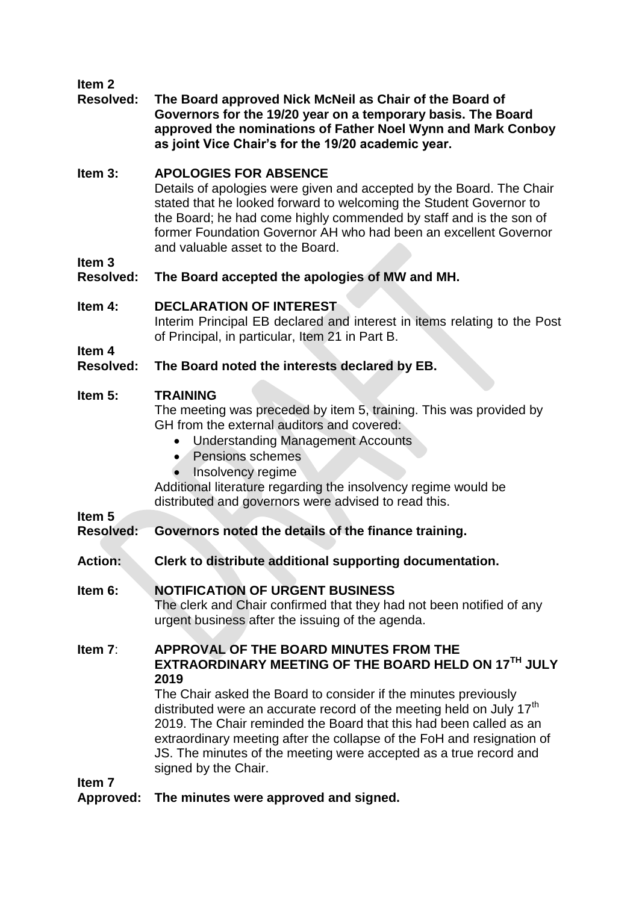## **Item 2**

#### **Resolved: The Board approved Nick McNeil as Chair of the Board of Governors for the 19/20 year on a temporary basis. The Board approved the nominations of Father Noel Wynn and Mark Conboy as joint Vice Chair's for the 19/20 academic year.**

## **Item 3: APOLOGIES FOR ABSENCE**

Details of apologies were given and accepted by the Board. The Chair stated that he looked forward to welcoming the Student Governor to the Board; he had come highly commended by staff and is the son of former Foundation Governor AH who had been an excellent Governor and valuable asset to the Board.

**Item 3** 

## **Resolved: The Board accepted the apologies of MW and MH.**

## **Item 4: DECLARATION OF INTEREST**

Interim Principal EB declared and interest in items relating to the Post of Principal, in particular, Item 21 in Part B.

**Item 4**

## **Resolved: The Board noted the interests declared by EB.**

## **Item 5: TRAINING**

The meeting was preceded by item 5, training. This was provided by GH from the external auditors and covered:

- Understanding Management Accounts
- Pensions schemes
- Insolvency regime

Additional literature regarding the insolvency regime would be distributed and governors were advised to read this.

## **Item 5**

## **Resolved: Governors noted the details of the finance training.**

- **Action: Clerk to distribute additional supporting documentation.**
- **Item 6: NOTIFICATION OF URGENT BUSINESS** The clerk and Chair confirmed that they had not been notified of any urgent business after the issuing of the agenda.

## **Item 7**: **APPROVAL OF THE BOARD MINUTES FROM THE EXTRAORDINARY MEETING OF THE BOARD HELD ON 17TH JULY 2019**

The Chair asked the Board to consider if the minutes previously distributed were an accurate record of the meeting held on July 17<sup>th</sup> 2019. The Chair reminded the Board that this had been called as an extraordinary meeting after the collapse of the FoH and resignation of JS. The minutes of the meeting were accepted as a true record and signed by the Chair.

**Item 7**

**Approved: The minutes were approved and signed.**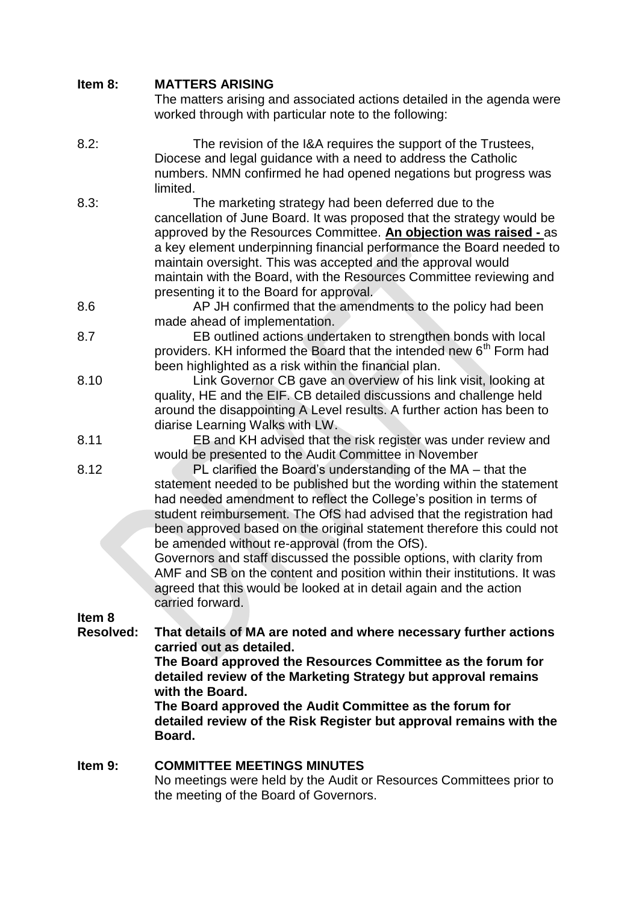## **Item 8: MATTERS ARISING**

The matters arising and associated actions detailed in the agenda were worked through with particular note to the following:

- 8.2: The revision of the I&A requires the support of the Trustees, Diocese and legal guidance with a need to address the Catholic numbers. NMN confirmed he had opened negations but progress was limited.
- 8.3: The marketing strategy had been deferred due to the cancellation of June Board. It was proposed that the strategy would be approved by the Resources Committee. **An objection was raised -** as a key element underpinning financial performance the Board needed to maintain oversight. This was accepted and the approval would maintain with the Board, with the Resources Committee reviewing and presenting it to the Board for approval.

8.6 AP JH confirmed that the amendments to the policy had been made ahead of implementation.

- 8.7 EB outlined actions undertaken to strengthen bonds with local providers. KH informed the Board that the intended new 6<sup>th</sup> Form had been highlighted as a risk within the financial plan.
- 8.10 Link Governor CB gave an overview of his link visit, looking at quality, HE and the EIF. CB detailed discussions and challenge held around the disappointing A Level results. A further action has been to diarise Learning Walks with LW.
- 8.11 EB and KH advised that the risk register was under review and would be presented to the Audit Committee in November
- 8.12 PL clarified the Board's understanding of the MA that the statement needed to be published but the wording within the statement had needed amendment to reflect the College's position in terms of student reimbursement. The OfS had advised that the registration had been approved based on the original statement therefore this could not be amended without re-approval (from the OfS).

Governors and staff discussed the possible options, with clarity from AMF and SB on the content and position within their institutions. It was agreed that this would be looked at in detail again and the action carried forward.

**Item 8**

**Resolved: That details of MA are noted and where necessary further actions carried out as detailed.** 

**The Board approved the Resources Committee as the forum for detailed review of the Marketing Strategy but approval remains with the Board.** 

**The Board approved the Audit Committee as the forum for detailed review of the Risk Register but approval remains with the Board.** 

#### **Item 9: COMMITTEE MEETINGS MINUTES** No meetings were held by the Audit or Resources Committees prior to the meeting of the Board of Governors.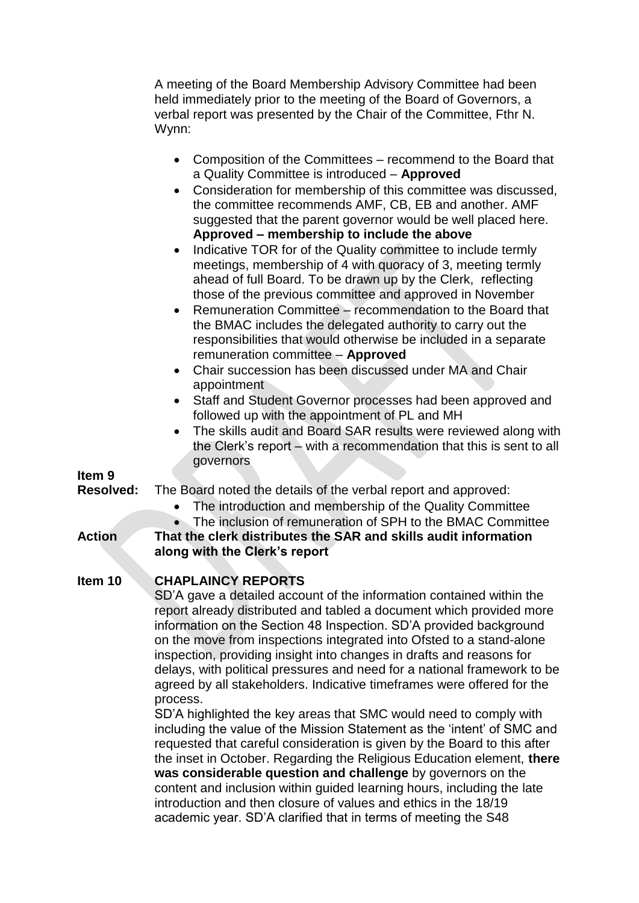A meeting of the Board Membership Advisory Committee had been held immediately prior to the meeting of the Board of Governors, a verbal report was presented by the Chair of the Committee, Fthr N. Wynn:

| • Composition of the Committees - recommend to the Board that   |
|-----------------------------------------------------------------|
| a Quality Committee is introduced - Approved                    |
| • Consideration for membership of this committee was discussed, |
| the committee recommends AMF, CB, EB and another. AMF           |
| suggested that the parent governor would be well placed here.   |
| Approved - membership to include the above                      |
| • Indicative TOR for of the Quality committee to include termly |

- meetings, membership of 4 with quoracy of 3, meeting termly ahead of full Board. To be drawn up by the Clerk, reflecting those of the previous committee and approved in November
- Remuneration Committee recommendation to the Board that the BMAC includes the delegated authority to carry out the responsibilities that would otherwise be included in a separate remuneration committee – **Approved**
- Chair succession has been discussed under MA and Chair appointment
- Staff and Student Governor processes had been approved and followed up with the appointment of PL and MH
- The skills audit and Board SAR results were reviewed along with the Clerk's report – with a recommendation that this is sent to all governors

#### **Item 9**

**Resolved:** The Board noted the details of the verbal report and approved:

- The introduction and membership of the Quality Committee
- The inclusion of remuneration of SPH to the BMAC Committee

**Action That the clerk distributes the SAR and skills audit information along with the Clerk's report**

## **Item 10 CHAPLAINCY REPORTS**

SD'A gave a detailed account of the information contained within the report already distributed and tabled a document which provided more information on the Section 48 Inspection. SD'A provided background on the move from inspections integrated into Ofsted to a stand-alone inspection, providing insight into changes in drafts and reasons for delays, with political pressures and need for a national framework to be agreed by all stakeholders. Indicative timeframes were offered for the process.

SD'A highlighted the key areas that SMC would need to comply with including the value of the Mission Statement as the 'intent' of SMC and requested that careful consideration is given by the Board to this after the inset in October. Regarding the Religious Education element, **there was considerable question and challenge** by governors on the content and inclusion within guided learning hours, including the late introduction and then closure of values and ethics in the 18/19 academic year. SD'A clarified that in terms of meeting the S48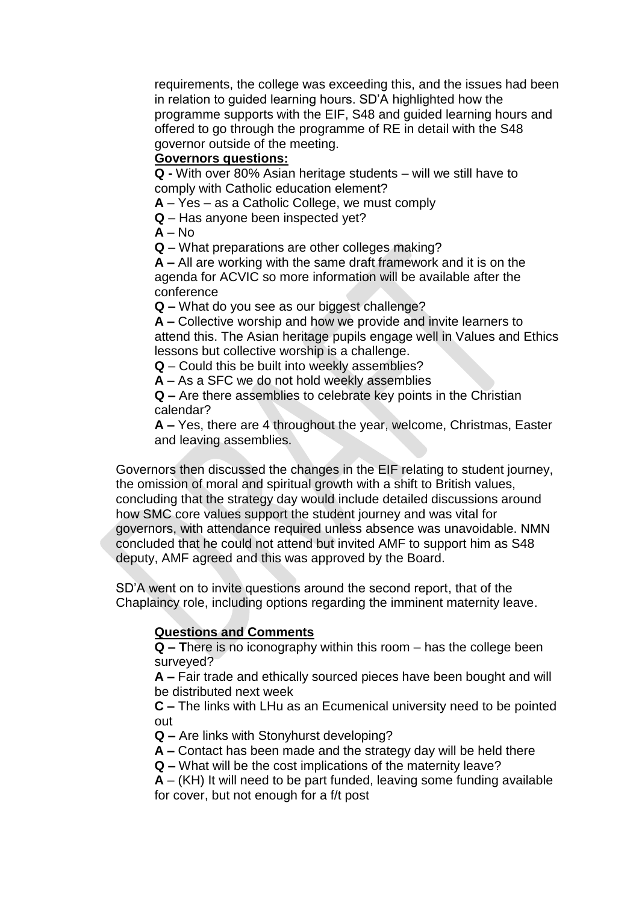requirements, the college was exceeding this, and the issues had been in relation to guided learning hours. SD'A highlighted how the programme supports with the EIF, S48 and guided learning hours and offered to go through the programme of RE in detail with the S48 governor outside of the meeting.

## **Governors questions:**

**Q -** With over 80% Asian heritage students – will we still have to comply with Catholic education element?

**A** – Yes – as a Catholic College, we must comply

**Q** – Has anyone been inspected yet?

 $A - No$ 

**Q** – What preparations are other colleges making?

**A –** All are working with the same draft framework and it is on the agenda for ACVIC so more information will be available after the conference

**Q –** What do you see as our biggest challenge?

**A –** Collective worship and how we provide and invite learners to attend this. The Asian heritage pupils engage well in Values and Ethics lessons but collective worship is a challenge.

**Q** – Could this be built into weekly assemblies?

**A** – As a SFC we do not hold weekly assemblies

**Q –** Are there assemblies to celebrate key points in the Christian calendar?

**A –** Yes, there are 4 throughout the year, welcome, Christmas, Easter and leaving assemblies.

Governors then discussed the changes in the EIF relating to student journey, the omission of moral and spiritual growth with a shift to British values, concluding that the strategy day would include detailed discussions around how SMC core values support the student journey and was vital for governors, with attendance required unless absence was unavoidable. NMN concluded that he could not attend but invited AMF to support him as S48 deputy, AMF agreed and this was approved by the Board.

SD'A went on to invite questions around the second report, that of the Chaplaincy role, including options regarding the imminent maternity leave.

## **Questions and Comments**

**Q – T**here is no iconography within this room – has the college been surveyed?

**A –** Fair trade and ethically sourced pieces have been bought and will be distributed next week

**C –** The links with LHu as an Ecumenical university need to be pointed out

**Q –** Are links with Stonyhurst developing?

**A –** Contact has been made and the strategy day will be held there

**Q –** What will be the cost implications of the maternity leave?

**A** – (KH) It will need to be part funded, leaving some funding available for cover, but not enough for a f/t post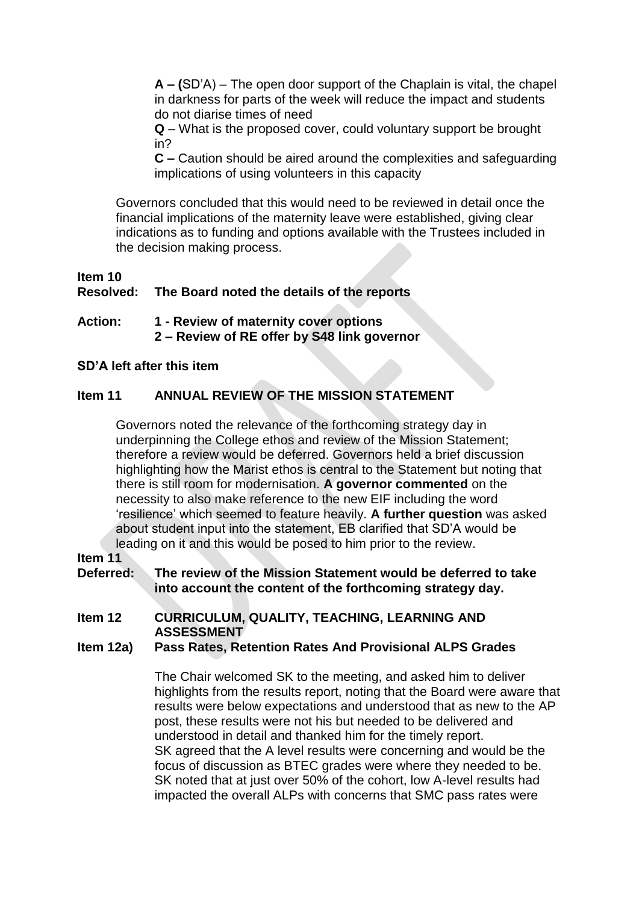**A – (**SD'A) – The open door support of the Chaplain is vital, the chapel in darkness for parts of the week will reduce the impact and students do not diarise times of need

**Q** – What is the proposed cover, could voluntary support be brought in?

**C –** Caution should be aired around the complexities and safeguarding implications of using volunteers in this capacity

Governors concluded that this would need to be reviewed in detail once the financial implications of the maternity leave were established, giving clear indications as to funding and options available with the Trustees included in the decision making process.

### **Item 10 Resolved: The Board noted the details of the reports**

#### **Action: 1 - Review of maternity cover options 2 – Review of RE offer by S48 link governor**

#### **SD'A left after this item**

## **Item 11 ANNUAL REVIEW OF THE MISSION STATEMENT**

Governors noted the relevance of the forthcoming strategy day in underpinning the College ethos and review of the Mission Statement; therefore a review would be deferred. Governors held a brief discussion highlighting how the Marist ethos is central to the Statement but noting that there is still room for modernisation. **A governor commented** on the necessity to also make reference to the new EIF including the word 'resilience' which seemed to feature heavily. **A further question** was asked about student input into the statement, EB clarified that SD'A would be leading on it and this would be posed to him prior to the review.

#### **Item 11**

**Deferred: The review of the Mission Statement would be deferred to take into account the content of the forthcoming strategy day.**

#### **Item 12 CURRICULUM, QUALITY, TEACHING, LEARNING AND ASSESSMENT**

#### **Item 12a) Pass Rates, Retention Rates And Provisional ALPS Grades**

The Chair welcomed SK to the meeting, and asked him to deliver highlights from the results report, noting that the Board were aware that results were below expectations and understood that as new to the AP post, these results were not his but needed to be delivered and understood in detail and thanked him for the timely report. SK agreed that the A level results were concerning and would be the focus of discussion as BTEC grades were where they needed to be. SK noted that at just over 50% of the cohort, low A-level results had impacted the overall ALPs with concerns that SMC pass rates were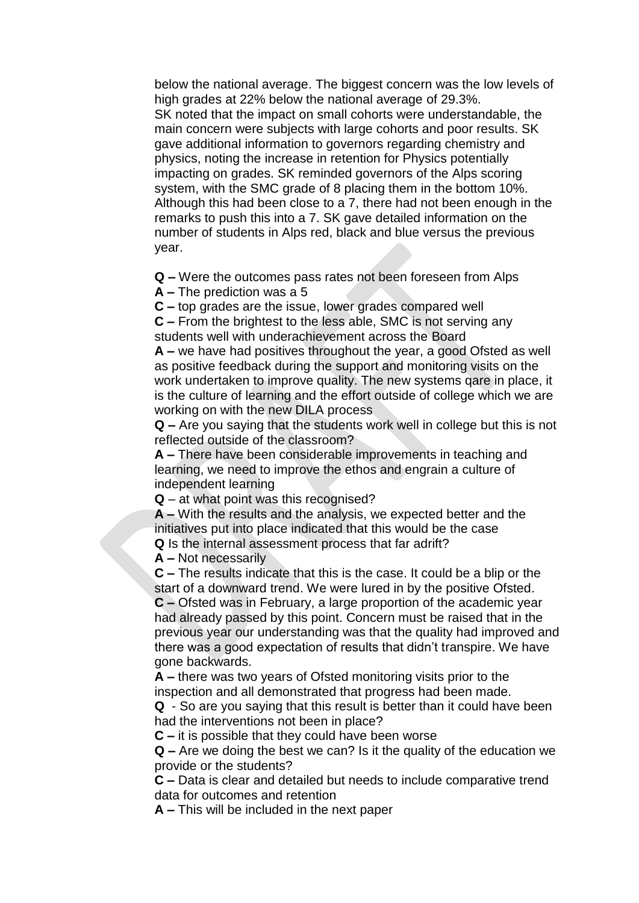below the national average. The biggest concern was the low levels of high grades at 22% below the national average of 29.3%. SK noted that the impact on small cohorts were understandable, the main concern were subjects with large cohorts and poor results. SK gave additional information to governors regarding chemistry and physics, noting the increase in retention for Physics potentially impacting on grades. SK reminded governors of the Alps scoring system, with the SMC grade of 8 placing them in the bottom 10%. Although this had been close to a 7, there had not been enough in the remarks to push this into a 7. SK gave detailed information on the number of students in Alps red, black and blue versus the previous year.

**Q –** Were the outcomes pass rates not been foreseen from Alps

**A –** The prediction was a 5

**C –** top grades are the issue, lower grades compared well

**C –** From the brightest to the less able, SMC is not serving any students well with underachievement across the Board

**A –** we have had positives throughout the year, a good Ofsted as well as positive feedback during the support and monitoring visits on the work undertaken to improve quality. The new systems qare in place, it is the culture of learning and the effort outside of college which we are working on with the new DILA process

**Q –** Are you saying that the students work well in college but this is not reflected outside of the classroom?

**A –** There have been considerable improvements in teaching and learning, we need to improve the ethos and engrain a culture of independent learning

**Q** – at what point was this recognised?

**A –** With the results and the analysis, we expected better and the initiatives put into place indicated that this would be the case **Q** Is the internal assessment process that far adrift?

**A –** Not necessarily

**C –** The results indicate that this is the case. It could be a blip or the start of a downward trend. We were lured in by the positive Ofsted. **C –** Ofsted was in February, a large proportion of the academic year had already passed by this point. Concern must be raised that in the previous year our understanding was that the quality had improved and there was a good expectation of results that didn't transpire. We have gone backwards.

**A –** there was two years of Ofsted monitoring visits prior to the inspection and all demonstrated that progress had been made.

**Q** - So are you saying that this result is better than it could have been had the interventions not been in place?

**C –** it is possible that they could have been worse

**Q –** Are we doing the best we can? Is it the quality of the education we provide or the students?

**C –** Data is clear and detailed but needs to include comparative trend data for outcomes and retention

**A –** This will be included in the next paper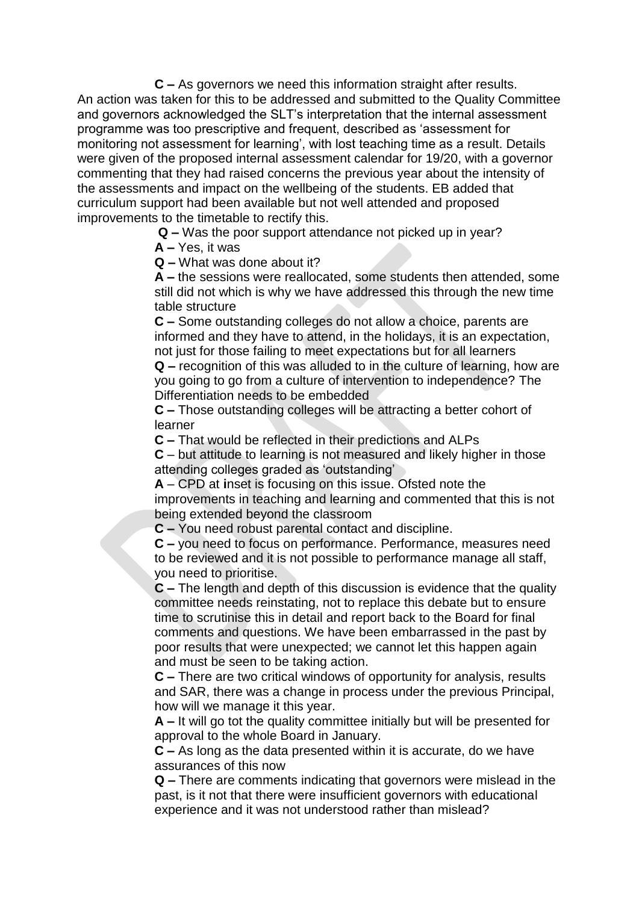**C –** As governors we need this information straight after results. An action was taken for this to be addressed and submitted to the Quality Committee and governors acknowledged the SLT's interpretation that the internal assessment programme was too prescriptive and frequent, described as 'assessment for monitoring not assessment for learning', with lost teaching time as a result. Details were given of the proposed internal assessment calendar for 19/20, with a governor commenting that they had raised concerns the previous year about the intensity of the assessments and impact on the wellbeing of the students. EB added that curriculum support had been available but not well attended and proposed improvements to the timetable to rectify this.

**Q –** Was the poor support attendance not picked up in year?

**A –** Yes, it was

**Q –** What was done about it?

**A –** the sessions were reallocated, some students then attended, some still did not which is why we have addressed this through the new time table structure

**C –** Some outstanding colleges do not allow a choice, parents are informed and they have to attend, in the holidays, it is an expectation, not just for those failing to meet expectations but for all learners

**Q –** recognition of this was alluded to in the culture of learning, how are you going to go from a culture of intervention to independence? The Differentiation needs to be embedded

**C –** Those outstanding colleges will be attracting a better cohort of learner

**C –** That would be reflected in their predictions and ALPs

**C** – but attitude to learning is not measured and likely higher in those attending colleges graded as 'outstanding'

**A** – CPD at **i**nset is focusing on this issue. Ofsted note the improvements in teaching and learning and commented that this is not being extended beyond the classroom

**C –** You need robust parental contact and discipline.

**C –** you need to focus on performance. Performance, measures need to be reviewed and it is not possible to performance manage all staff, you need to prioritise.

**C –** The length and depth of this discussion is evidence that the quality committee needs reinstating, not to replace this debate but to ensure time to scrutinise this in detail and report back to the Board for final comments and questions. We have been embarrassed in the past by poor results that were unexpected; we cannot let this happen again and must be seen to be taking action.

**C –** There are two critical windows of opportunity for analysis, results and SAR, there was a change in process under the previous Principal, how will we manage it this year.

**A –** It will go tot the quality committee initially but will be presented for approval to the whole Board in January.

**C –** As long as the data presented within it is accurate, do we have assurances of this now

**Q –** There are comments indicating that governors were mislead in the past, is it not that there were insufficient governors with educational experience and it was not understood rather than mislead?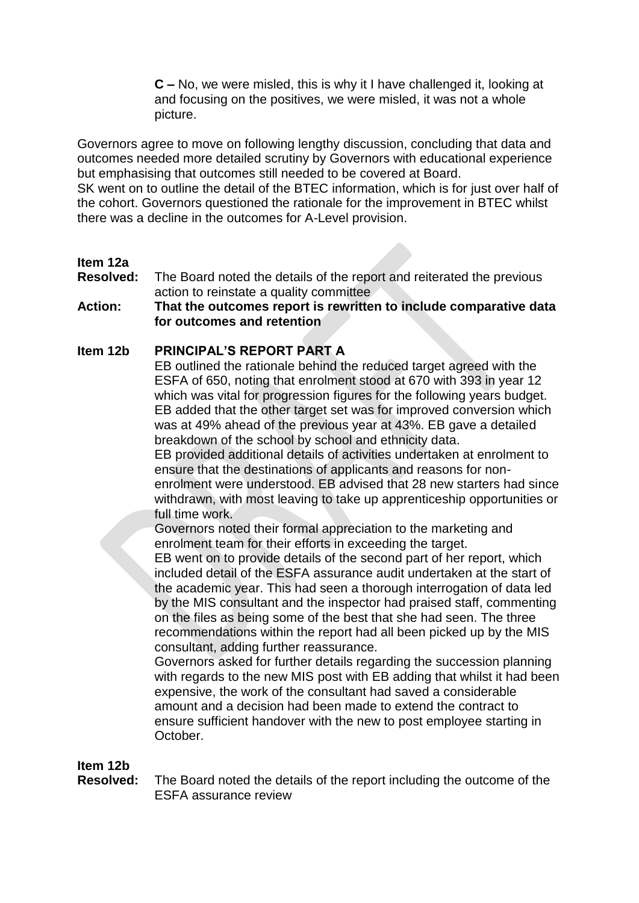**C –** No, we were misled, this is why it I have challenged it, looking at and focusing on the positives, we were misled, it was not a whole picture.

Governors agree to move on following lengthy discussion, concluding that data and outcomes needed more detailed scrutiny by Governors with educational experience but emphasising that outcomes still needed to be covered at Board.

SK went on to outline the detail of the BTEC information, which is for just over half of the cohort. Governors questioned the rationale for the improvement in BTEC whilst there was a decline in the outcomes for A-Level provision.

## **Item 12a**

**Resolved:** The Board noted the details of the report and reiterated the previous action to reinstate a quality committee

### **Action: That the outcomes report is rewritten to include comparative data for outcomes and retention**

## **Item 12b PRINCIPAL'S REPORT PART A**

EB outlined the rationale behind the reduced target agreed with the ESFA of 650, noting that enrolment stood at 670 with 393 in year 12 which was vital for progression figures for the following years budget. EB added that the other target set was for improved conversion which was at 49% ahead of the previous year at 43%. EB gave a detailed breakdown of the school by school and ethnicity data.

EB provided additional details of activities undertaken at enrolment to ensure that the destinations of applicants and reasons for nonenrolment were understood. EB advised that 28 new starters had since withdrawn, with most leaving to take up apprenticeship opportunities or full time work.

Governors noted their formal appreciation to the marketing and enrolment team for their efforts in exceeding the target.

EB went on to provide details of the second part of her report, which included detail of the ESFA assurance audit undertaken at the start of the academic year. This had seen a thorough interrogation of data led by the MIS consultant and the inspector had praised staff, commenting on the files as being some of the best that she had seen. The three recommendations within the report had all been picked up by the MIS consultant, adding further reassurance.

Governors asked for further details regarding the succession planning with regards to the new MIS post with EB adding that whilst it had been expensive, the work of the consultant had saved a considerable amount and a decision had been made to extend the contract to ensure sufficient handover with the new to post employee starting in October.

#### **Item 12b**

**Resolved:** The Board noted the details of the report including the outcome of the ESFA assurance review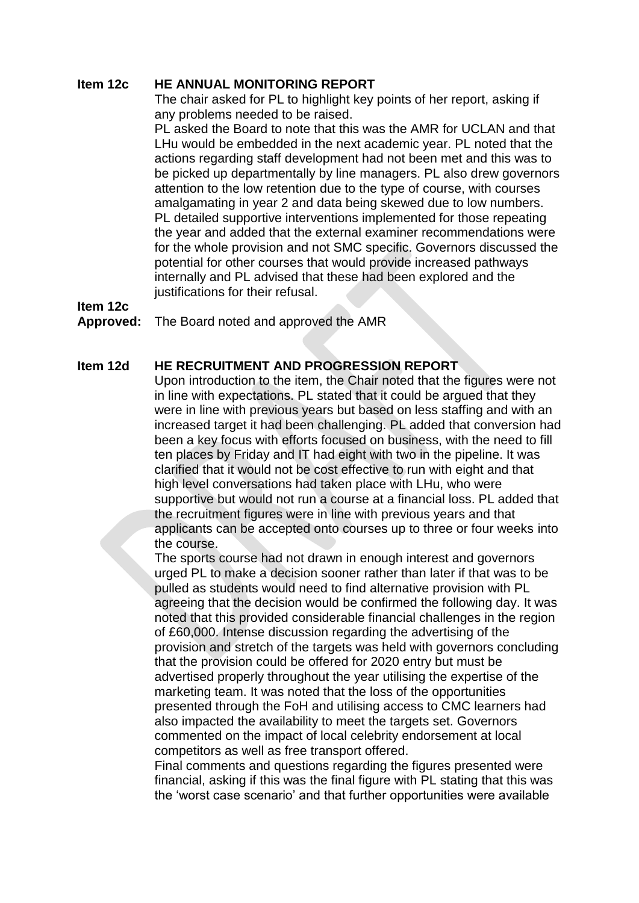#### **Item 12c HE ANNUAL MONITORING REPORT**

The chair asked for PL to highlight key points of her report, asking if any problems needed to be raised.

PL asked the Board to note that this was the AMR for UCLAN and that LHu would be embedded in the next academic year. PL noted that the actions regarding staff development had not been met and this was to be picked up departmentally by line managers. PL also drew governors attention to the low retention due to the type of course, with courses amalgamating in year 2 and data being skewed due to low numbers. PL detailed supportive interventions implemented for those repeating the year and added that the external examiner recommendations were for the whole provision and not SMC specific. Governors discussed the potential for other courses that would provide increased pathways internally and PL advised that these had been explored and the justifications for their refusal.

**Item 12c** 

#### **Approved:** The Board noted and approved the AMR

#### **Item 12d HE RECRUITMENT AND PROGRESSION REPORT**

Upon introduction to the item, the Chair noted that the figures were not in line with expectations. PL stated that it could be argued that they were in line with previous years but based on less staffing and with an increased target it had been challenging. PL added that conversion had been a key focus with efforts focused on business, with the need to fill ten places by Friday and IT had eight with two in the pipeline. It was clarified that it would not be cost effective to run with eight and that high level conversations had taken place with LHu, who were supportive but would not run a course at a financial loss. PL added that the recruitment figures were in line with previous years and that applicants can be accepted onto courses up to three or four weeks into the course.

The sports course had not drawn in enough interest and governors urged PL to make a decision sooner rather than later if that was to be pulled as students would need to find alternative provision with PL agreeing that the decision would be confirmed the following day. It was noted that this provided considerable financial challenges in the region of £60,000. Intense discussion regarding the advertising of the provision and stretch of the targets was held with governors concluding that the provision could be offered for 2020 entry but must be advertised properly throughout the year utilising the expertise of the marketing team. It was noted that the loss of the opportunities presented through the FoH and utilising access to CMC learners had also impacted the availability to meet the targets set. Governors commented on the impact of local celebrity endorsement at local competitors as well as free transport offered.

Final comments and questions regarding the figures presented were financial, asking if this was the final figure with PL stating that this was the 'worst case scenario' and that further opportunities were available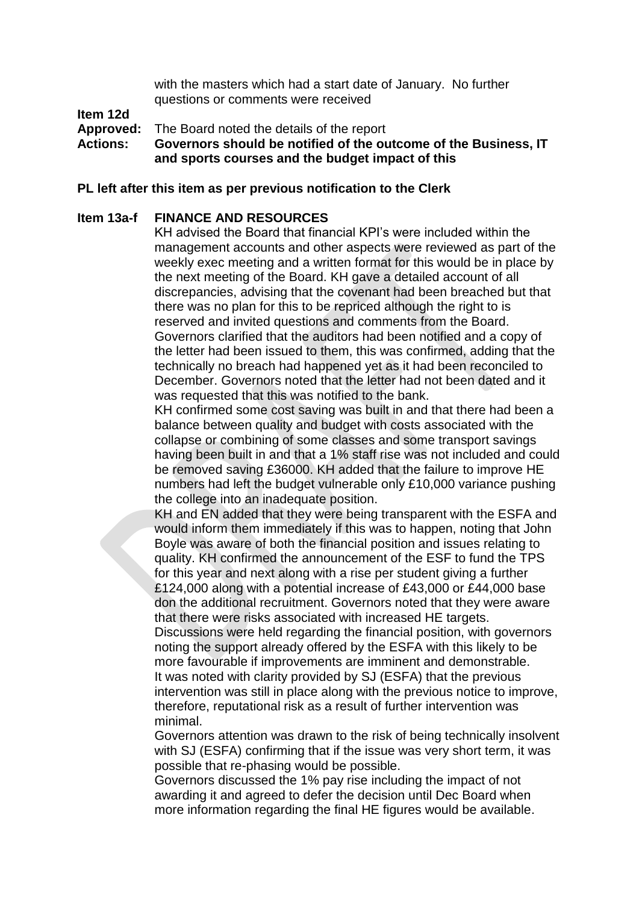with the masters which had a start date of January. No further questions or comments were received

## **Item 12d**

**Approved:** The Board noted the details of the report

**Actions: Governors should be notified of the outcome of the Business, IT and sports courses and the budget impact of this** 

#### **PL left after this item as per previous notification to the Clerk**

#### **Item 13a-f FINANCE AND RESOURCES**

KH advised the Board that financial KPI's were included within the management accounts and other aspects were reviewed as part of the weekly exec meeting and a written format for this would be in place by the next meeting of the Board. KH gave a detailed account of all discrepancies, advising that the covenant had been breached but that there was no plan for this to be repriced although the right to is reserved and invited questions and comments from the Board. Governors clarified that the auditors had been notified and a copy of the letter had been issued to them, this was confirmed, adding that the technically no breach had happened yet as it had been reconciled to December. Governors noted that the letter had not been dated and it was requested that this was notified to the bank.

KH confirmed some cost saving was built in and that there had been a balance between quality and budget with costs associated with the collapse or combining of some classes and some transport savings having been built in and that a 1% staff rise was not included and could be removed saving £36000. KH added that the failure to improve HE numbers had left the budget vulnerable only £10,000 variance pushing the college into an inadequate position.

KH and EN added that they were being transparent with the ESFA and would inform them immediately if this was to happen, noting that John Boyle was aware of both the financial position and issues relating to quality. KH confirmed the announcement of the ESF to fund the TPS for this year and next along with a rise per student giving a further £124,000 along with a potential increase of £43,000 or £44,000 base don the additional recruitment. Governors noted that they were aware that there were risks associated with increased HE targets.

Discussions were held regarding the financial position, with governors noting the support already offered by the ESFA with this likely to be more favourable if improvements are imminent and demonstrable. It was noted with clarity provided by SJ (ESFA) that the previous intervention was still in place along with the previous notice to improve, therefore, reputational risk as a result of further intervention was minimal.

Governors attention was drawn to the risk of being technically insolvent with SJ (ESFA) confirming that if the issue was very short term, it was possible that re-phasing would be possible.

Governors discussed the 1% pay rise including the impact of not awarding it and agreed to defer the decision until Dec Board when more information regarding the final HE figures would be available.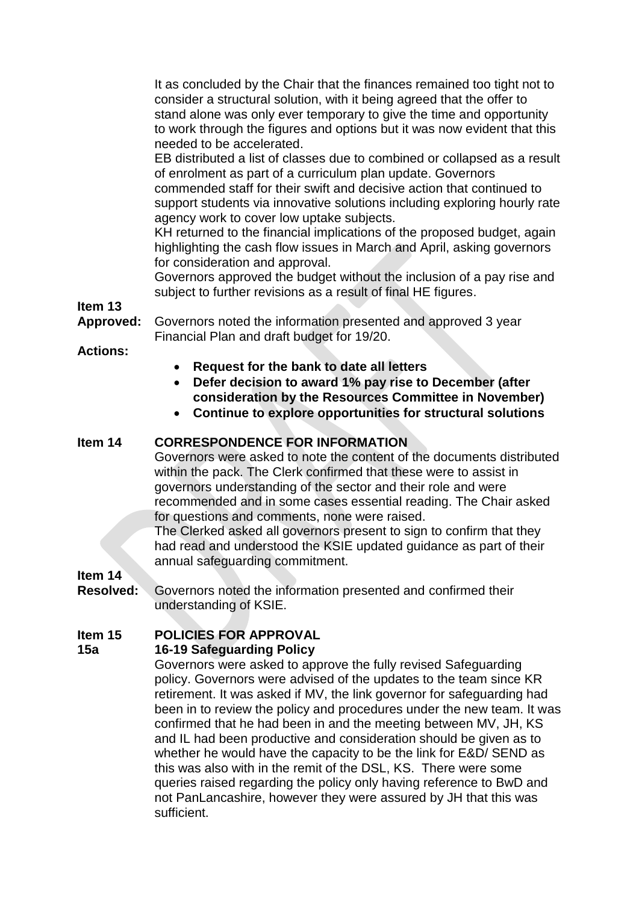It as concluded by the Chair that the finances remained too tight not to consider a structural solution, with it being agreed that the offer to stand alone was only ever temporary to give the time and opportunity to work through the figures and options but it was now evident that this needed to be accelerated.

EB distributed a list of classes due to combined or collapsed as a result of enrolment as part of a curriculum plan update. Governors commended staff for their swift and decisive action that continued to support students via innovative solutions including exploring hourly rate agency work to cover low uptake subjects.

KH returned to the financial implications of the proposed budget, again highlighting the cash flow issues in March and April, asking governors for consideration and approval.

Governors approved the budget without the inclusion of a pay rise and subject to further revisions as a result of final HE figures.

**Item 13**

**Approved:** Governors noted the information presented and approved 3 year Financial Plan and draft budget for 19/20.

**Actions:**

- **Request for the bank to date all letters**
- **Defer decision to award 1% pay rise to December (after consideration by the Resources Committee in November)**
- **Continue to explore opportunities for structural solutions**

## **Item 14 CORRESPONDENCE FOR INFORMATION**

Governors were asked to note the content of the documents distributed within the pack. The Clerk confirmed that these were to assist in governors understanding of the sector and their role and were recommended and in some cases essential reading. The Chair asked for questions and comments, none were raised.

The Clerked asked all governors present to sign to confirm that they had read and understood the KSIE updated guidance as part of their annual safeguarding commitment.

**Item 14**

**Resolved:** Governors noted the information presented and confirmed their understanding of KSIE.

## **Item 15 POLICIES FOR APPROVAL**

#### **15a 16-19 Safeguarding Policy**

Governors were asked to approve the fully revised Safeguarding policy. Governors were advised of the updates to the team since KR retirement. It was asked if MV, the link governor for safeguarding had been in to review the policy and procedures under the new team. It was confirmed that he had been in and the meeting between MV, JH, KS and IL had been productive and consideration should be given as to whether he would have the capacity to be the link for E&D/ SEND as this was also with in the remit of the DSL, KS. There were some queries raised regarding the policy only having reference to BwD and not PanLancashire, however they were assured by JH that this was sufficient.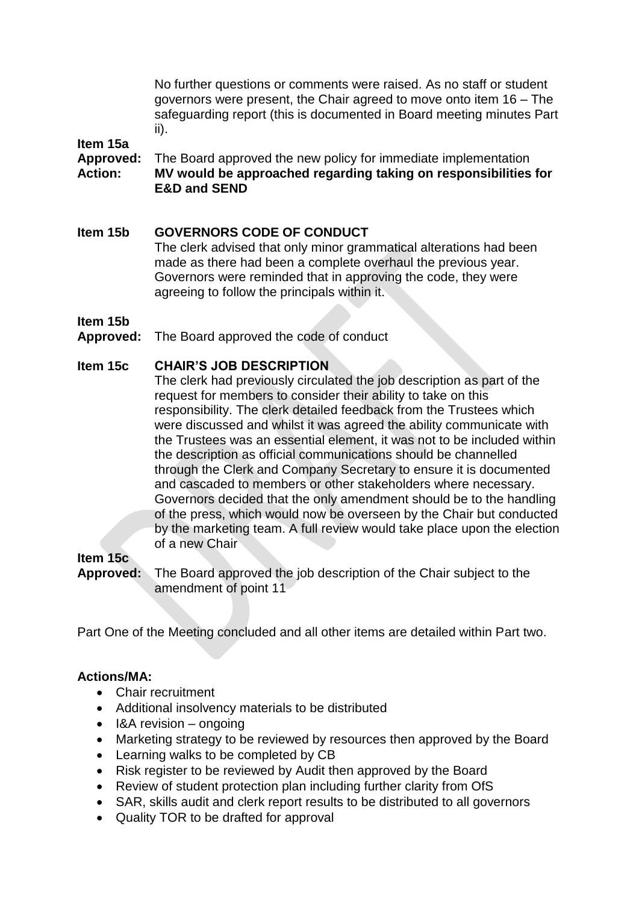No further questions or comments were raised. As no staff or student governors were present, the Chair agreed to move onto item 16 – The safeguarding report (this is documented in Board meeting minutes Part ii).

#### **Item 15a**

**Approved:** The Board approved the new policy for immediate implementation **Action: MV would be approached regarding taking on responsibilities for E&D and SEND**

## **Item 15b GOVERNORS CODE OF CONDUCT**

The clerk advised that only minor grammatical alterations had been made as there had been a complete overhaul the previous year. Governors were reminded that in approving the code, they were agreeing to follow the principals within it.

#### **Item 15b**

**Approved:** The Board approved the code of conduct

#### **Item 15c CHAIR'S JOB DESCRIPTION**

The clerk had previously circulated the job description as part of the request for members to consider their ability to take on this responsibility. The clerk detailed feedback from the Trustees which were discussed and whilst it was agreed the ability communicate with the Trustees was an essential element, it was not to be included within the description as official communications should be channelled through the Clerk and Company Secretary to ensure it is documented and cascaded to members or other stakeholders where necessary. Governors decided that the only amendment should be to the handling of the press, which would now be overseen by the Chair but conducted by the marketing team. A full review would take place upon the election of a new Chair

## **Item 15c**

**Approved:** The Board approved the job description of the Chair subject to the amendment of point 11

Part One of the Meeting concluded and all other items are detailed within Part two.

## **Actions/MA:**

- Chair recruitment
- Additional insolvency materials to be distributed
- $\cdot$  I&A revision ongoing
- Marketing strategy to be reviewed by resources then approved by the Board
- Learning walks to be completed by CB
- Risk register to be reviewed by Audit then approved by the Board
- Review of student protection plan including further clarity from OfS
- SAR, skills audit and clerk report results to be distributed to all governors
- Quality TOR to be drafted for approval